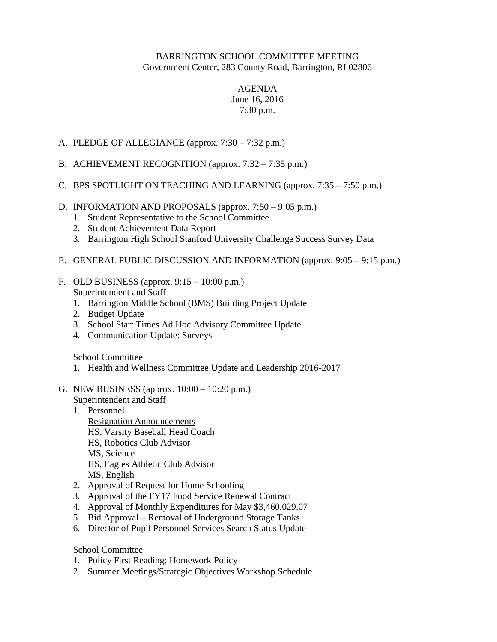## BARRINGTON SCHOOL COMMITTEE MEETING Government Center, 283 County Road, Barrington, RI 02806

## AGENDA June 16, 2016 7:30 p.m.

- A. PLEDGE OF ALLEGIANCE (approx. 7:30 7:32 p.m.)
- B. ACHIEVEMENT RECOGNITION (approx. 7:32 7:35 p.m.)
- C. BPS SPOTLIGHT ON TEACHING AND LEARNING (approx.  $7:35 7:50$  p.m.)
- D. INFORMATION AND PROPOSALS (approx. 7:50 9:05 p.m.)
	- 1. Student Representative to the School Committee
	- 2. Student Achievement Data Report
	- 3. Barrington High School Stanford University Challenge Success Survey Data
- E. GENERAL PUBLIC DISCUSSION AND INFORMATION (approx. 9:05 9:15 p.m.)
- F. OLD BUSINESS (approx.  $9:15 10:00$  p.m.) Superintendent and Staff
	- 1. Barrington Middle School (BMS) Building Project Update
	- 2. Budget Update
	- 3. School Start Times Ad Hoc Advisory Committee Update
	- 4. Communication Update: Surveys

School Committee

- 1. Health and Wellness Committee Update and Leadership 2016-2017
- G. NEW BUSINESS (approx. 10:00 10:20 p.m.)
	- Superintendent and Staff
	- 1. Personnel Resignation Announcements HS, Varsity Baseball Head Coach HS, Robotics Club Advisor MS, Science HS, Eagles Athletic Club Advisor MS, English
	- 2. Approval of Request for Home Schooling
	- 3. Approval of the FY17 Food Service Renewal Contract
	- 4. Approval of Monthly Expenditures for May \$3,460,029.07
	- 5. Bid Approval Removal of Underground Storage Tanks
	- 6. Director of Pupil Personnel Services Search Status Update

## School Committee

- 1. Policy First Reading: Homework Policy
- 2. Summer Meetings/Strategic Objectives Workshop Schedule